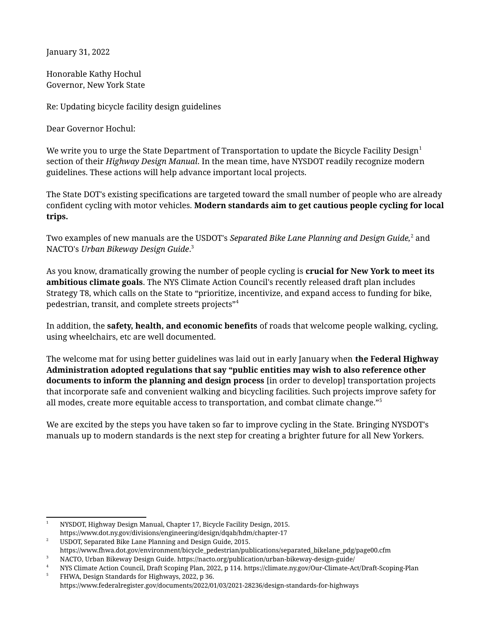January 31, 2022

Honorable Kathy Hochul Governor, New York State

Re: Updating bicycle facility design guidelines

Dear Governor Hochul:

We write you to urge the State Department of Transportation to update the Bicycle Facility Design<sup>[1](#page-0-0)</sup> section of their *Highway Design Manual*. In the mean time, have NYSDOT readily recognize modern guidelines. These actions will help advance important local projects.

The State DOT's existing specifications are targeted toward the small number of people who are already confident cycling with motor vehicles. **Modern standards aim to get cautious people cycling for local trips.**

Two examples of new manuals are the USDOT's *Separated Bike Lane Planning and Design Guide,<sup>[2](#page-0-1)</sup> and* NACTO's *Urban Bikeway Design Guide*. [3](#page-0-2)

As you know, dramatically growing the number of people cycling is **crucial for New York to meet its ambitious climate goals**. The NYS Climate Action Council's recently released draft plan includes Strategy T8, which calls on the State to "prioritize, incentivize, and expand access to funding for bike, pedestrian, transit, and complete streets projects"[4](#page-0-3)

In addition, the **safety, health, and economic benefits** of roads that welcome people walking, cycling, using wheelchairs, etc are well documented.

The welcome mat for using better guidelines was laid out in early January when **the Federal Highway Administration adopted regulations that say "public entities may wish to also reference other documents to inform the planning and design process** [in order to develop] transportation projects that incorporate safe and convenient walking and bicycling facilities. Such projects improve safety for all modes, create more equitable access to transportation, and combat climate change."[5](#page-0-4)

We are excited by the steps you have taken so far to improve cycling in the State. Bringing NYSDOT's manuals up to modern standards is the next step for creating a brighter future for all New Yorkers.

<span id="page-0-1"></span><sup>2</sup> USDOT, Separated Bike Lane Planning and Design Guide, 2015. https://www.fhwa.dot.gov/environment/bicycle\_pedestrian/publications/separated\_bikelane\_pdg/page00.cfm

<span id="page-0-0"></span><sup>1</sup> NYSDOT, Highway Design Manual, Chapter 17, Bicycle Facility Design, 2015. https://www.dot.ny.gov/divisions/engineering/design/dqab/hdm/chapter-17

<sup>3</sup> NACTO, Urban Bikeway Design Guide. https://nacto.org/publication/urban-bikeway-design-guide/

<span id="page-0-3"></span><span id="page-0-2"></span><sup>4</sup> NYS Climate Action Council, Draft Scoping Plan, 2022, p 114. https://climate.ny.gov/Our-Climate-Act/Draft-Scoping-Plan

<span id="page-0-4"></span><sup>5</sup> FHWA, Design Standards for Highways, 2022, p 36. https://www.federalregister.gov/documents/2022/01/03/2021-28236/design-standards-for-highways